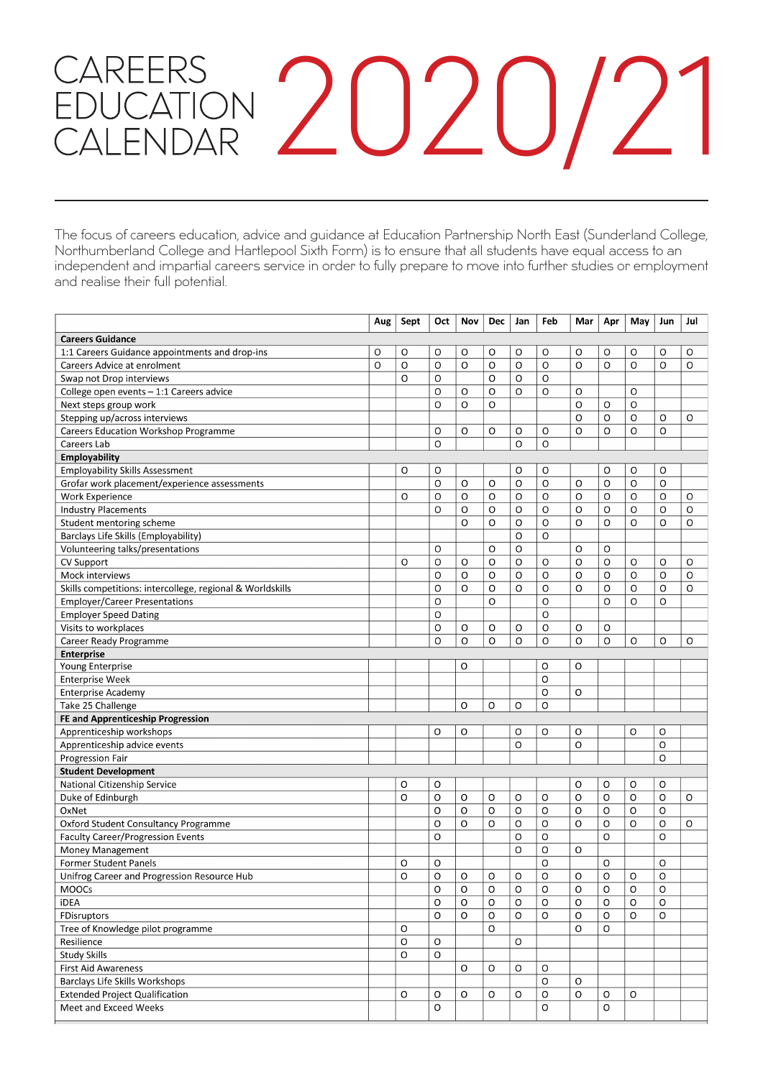# CAREERS<br>EDUCATION 2020/21

The focus of careers education, advice and guidance at Education Partnership North East (Sunderland College, Northumberland College and Hartlepool Sixth Form) is to ensure that all students have equal access to an independent and impartial careers service in order to fully prepare to move into further studies or employment and realise their full potential.

|                                                           | Aug | Sept        | Oct         | Nov | <b>Dec</b> | Jan | Feb | Mar      | Apr | May     | Jun | Jul |
|-----------------------------------------------------------|-----|-------------|-------------|-----|------------|-----|-----|----------|-----|---------|-----|-----|
| <b>Careers Guidance</b>                                   |     |             |             |     |            |     |     |          |     |         |     |     |
| 1:1 Careers Guidance appointments and drop-ins            | O   | O           | O           | O   | O          | O   | O   | O        | O   | O       | O   | O   |
| <b>Careers Advice at enrolment</b>                        | O   | $\circ$     | O           | O   | O          | O   | O   | $\Omega$ | O   | O       | O   | O   |
| Swap not Drop interviews                                  |     | O           | O           |     | O          | O   | O   |          |     |         |     |     |
| College open events $-1:1$ Careers advice                 |     |             | O           | O   | O          | O   | O   | O        |     | O       |     |     |
| Next steps group work                                     |     |             | O           | O   | O          |     |     | $\circ$  | O   | O       |     |     |
| Stepping up/across interviews                             |     |             |             |     |            |     |     | $\circ$  | O   | O       | O   | O   |
| <b>Careers Education Workshop Programme</b>               |     |             | O           | O   | O          | O   | O   | O        | O   | O       | O   |     |
| Careers Lab                                               |     |             | O           |     |            | O   | O   |          |     |         |     |     |
| Employability                                             |     |             |             |     |            |     |     |          |     |         |     |     |
| <b>Employability Skills Assessment</b>                    |     | O           | O           |     |            | O   | O   |          | O   | O       | O   |     |
| Grofar work placement/experience assessments              |     |             | O           | O   | O          | O   | O   | O        | O   | $\circ$ | O   |     |
| <b>Work Experience</b>                                    |     | O           | O           | O   | O          | O   | O   | O        | O   | O       | O   | O   |
| <b>Industry Placements</b>                                |     |             | O           | O   | O          | O   | O   | O        | O   | O       | O   | O   |
| Student mentoring scheme                                  |     |             |             | O   | O          | O   | O   | O        | O   | O       | O   | O   |
| Barclays Life Skills (Employability)                      |     |             |             |     |            | O   | O   |          |     |         |     |     |
| Volunteering talks/presentations                          |     |             | O           |     | O          | O   |     | O        | O   |         |     |     |
| <b>CV Support</b>                                         |     | O           | O           | O   | O          | O   | O   | $\circ$  | O   | O       | O   | O   |
| Mock interviews                                           |     |             | O           | O   | O          | O   | O   | O        | O   | O       | O   | O   |
| Skills competitions: intercollege, regional & Worldskills |     |             | O           | O   | O          | O   | O   | O        | O   | O       | O   | O   |
| <b>Employer/Career Presentations</b>                      |     |             | O           |     | O          |     | O   |          | O   | O       | O   |     |
| <b>Employer Speed Dating</b>                              |     |             | O           |     |            |     | O   |          |     |         |     |     |
| Visits to workplaces                                      |     |             | O           | O   | O          | O   | O   | O        | O   |         |     |     |
| Career Ready Programme                                    |     |             | O           | O   | O          | O   | O   | $\circ$  | O   | O       | O   | O   |
| <b>Enterprise</b>                                         |     |             |             |     |            |     |     |          |     |         |     |     |
| Young Enterprise                                          |     |             |             | O   |            |     | O   | O        |     |         |     |     |
| <b>Enterprise Week</b>                                    |     |             |             |     |            |     | O   |          |     |         |     |     |
| <b>Enterprise Academy</b>                                 |     |             |             |     |            |     | O   | O        |     |         |     |     |
| Take 25 Challenge                                         |     |             |             | O   | O          | O   | O   |          |     |         |     |     |
| FE and Apprenticeship Progression                         |     |             |             |     |            |     |     |          |     |         |     |     |
| Apprenticeship workshops                                  |     |             | O           | O   |            | O   | O   | O        |     | O       | O   |     |
| Apprenticeship advice events                              |     |             |             |     |            | O   |     | O        |     |         | O   |     |
| Progression Fair                                          |     |             |             |     |            |     |     |          |     |         | O   |     |
| <b>Student Development</b>                                |     |             |             |     |            |     |     |          |     |         |     |     |
| National Citizenship Service                              |     | O           | O           |     |            |     |     | O        | O   | O       | O   |     |
| Duke of Edinburgh                                         |     | O           | O           | O   | O          | O   | O   | O        | O   | $\circ$ | O   | O   |
| OxNet                                                     |     |             | O           | O   | $\circ$    | O   | O   | O        | O   | O       | O   |     |
| Oxford Student Consultancy Programme                      |     |             | O           | O   | O          | O   | O   | O        | O   | O       | O   | O   |
| <b>Faculty Career/Progression Events</b>                  |     |             | O           |     |            | O   | O   |          | O   |         | O   |     |
| <b>Money Management</b>                                   |     |             |             |     |            | O   | O   | O        |     |         |     |     |
| <b>Former Student Panels</b>                              |     | O           | O           |     |            |     | O   |          | O   |         | O   |     |
| Unifrog Career and Progression Resource Hub               |     | O           | O           | O   | O          | O   | O   | O        | O   | O       | O   |     |
| <b>MOOCs</b>                                              |     |             | O           | O   | O          | O   | O   | O        | O   | O       | O   |     |
| <b>iDEA</b>                                               |     |             | $\mathsf O$ | O   | O          | O   | O   | O        | O   | O       | O   |     |
| FDisruptors                                               |     |             | O           | O   | O          | 0   | O   | O        | O   | O       | O   |     |
| Tree of Knowledge pilot programme                         |     | O           |             |     | O          |     |     | O        | O   |         |     |     |
| Resilience                                                |     | $\mathsf O$ | O           |     |            | O   |     |          |     |         |     |     |
| <b>Study Skills</b>                                       |     | O           | O           |     |            |     |     |          |     |         |     |     |
| First Aid Awareness                                       |     |             |             | O   | O          | O   | O   |          |     |         |     |     |
| Barclays Life Skills Workshops                            |     |             |             |     |            |     | O   | O        |     |         |     |     |
| <b>Extended Project Qualification</b>                     |     | O           | O           | O   | O          | O   | O   | O        | O   | O       |     |     |
| Meet and Exceed Weeks                                     |     |             | O           |     |            |     | O   |          | O   |         |     |     |
|                                                           |     |             |             |     |            |     |     |          |     |         |     |     |